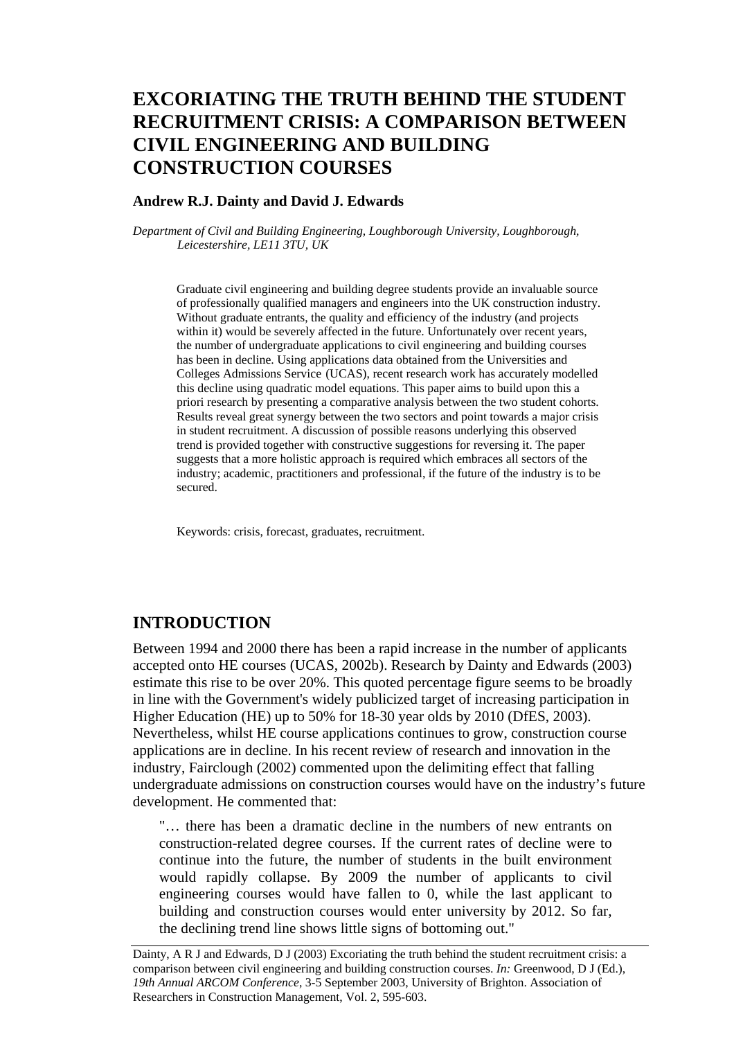# **EXCORIATING THE TRUTH BEHIND THE STUDENT RECRUITMENT CRISIS: A COMPARISON BETWEEN CIVIL ENGINEERING AND BUILDING CONSTRUCTION COURSES**

#### **Andrew R.J. Dainty and David J. Edwards**

*Department of Civil and Building Engineering, Loughborough University, Loughborough, Leicestershire, LE11 3TU, UK* 

Graduate civil engineering and building degree students provide an invaluable source of professionally qualified managers and engineers into the UK construction industry. Without graduate entrants, the quality and efficiency of the industry (and projects within it) would be severely affected in the future. Unfortunately over recent years, the number of undergraduate applications to civil engineering and building courses has been in decline. Using applications data obtained from the Universities and Colleges Admissions Service (UCAS), recent research work has accurately modelled this decline using quadratic model equations. This paper aims to build upon this a priori research by presenting a comparative analysis between the two student cohorts. Results reveal great synergy between the two sectors and point towards a major crisis in student recruitment. A discussion of possible reasons underlying this observed trend is provided together with constructive suggestions for reversing it. The paper suggests that a more holistic approach is required which embraces all sectors of the industry; academic, practitioners and professional, if the future of the industry is to be secured.

Keywords: crisis, forecast, graduates, recruitment.

### **INTRODUCTION**

Between 1994 and 2000 there has been a rapid increase in the number of applicants accepted onto HE courses (UCAS, 2002b). Research by Dainty and Edwards (2003) estimate this rise to be over 20%. This quoted percentage figure seems to be broadly in line with the Government's widely publicized target of increasing participation in Higher Education (HE) up to 50% for 18-30 year olds by 2010 (DfES, 2003). Nevertheless, whilst HE course applications continues to grow, construction course applications are in decline. In his recent review of research and innovation in the industry, Fairclough (2002) commented upon the delimiting effect that falling undergraduate admissions on construction courses would have on the industry's future development. He commented that:

"… there has been a dramatic decline in the numbers of new entrants on construction-related degree courses. If the current rates of decline were to continue into the future, the number of students in the built environment would rapidly collapse. By 2009 the number of applicants to civil engineering courses would have fallen to 0, while the last applicant to building and construction courses would enter university by 2012. So far, the declining trend line shows little signs of bottoming out."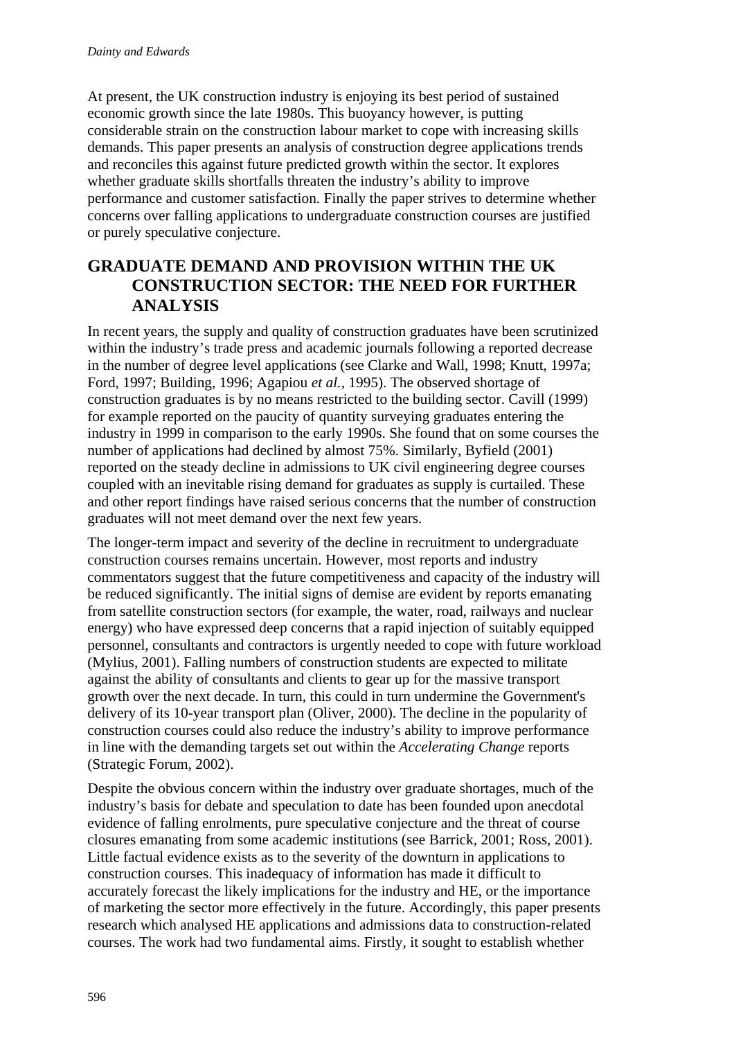At present, the UK construction industry is enjoying its best period of sustained economic growth since the late 1980s. This buoyancy however, is putting considerable strain on the construction labour market to cope with increasing skills demands. This paper presents an analysis of construction degree applications trends and reconciles this against future predicted growth within the sector. It explores whether graduate skills shortfalls threaten the industry's ability to improve performance and customer satisfaction. Finally the paper strives to determine whether concerns over falling applications to undergraduate construction courses are justified or purely speculative conjecture.

## **GRADUATE DEMAND AND PROVISION WITHIN THE UK CONSTRUCTION SECTOR: THE NEED FOR FURTHER ANALYSIS**

In recent years, the supply and quality of construction graduates have been scrutinized within the industry's trade press and academic journals following a reported decrease in the number of degree level applications (see Clarke and Wall, 1998; Knutt, 1997a; Ford, 1997; Building, 1996; Agapiou *et al.*, 1995). The observed shortage of construction graduates is by no means restricted to the building sector. Cavill (1999) for example reported on the paucity of quantity surveying graduates entering the industry in 1999 in comparison to the early 1990s. She found that on some courses the number of applications had declined by almost 75%. Similarly, Byfield (2001) reported on the steady decline in admissions to UK civil engineering degree courses coupled with an inevitable rising demand for graduates as supply is curtailed. These and other report findings have raised serious concerns that the number of construction graduates will not meet demand over the next few years.

The longer-term impact and severity of the decline in recruitment to undergraduate construction courses remains uncertain. However, most reports and industry commentators suggest that the future competitiveness and capacity of the industry will be reduced significantly. The initial signs of demise are evident by reports emanating from satellite construction sectors (for example, the water, road, railways and nuclear energy) who have expressed deep concerns that a rapid injection of suitably equipped personnel, consultants and contractors is urgently needed to cope with future workload (Mylius, 2001). Falling numbers of construction students are expected to militate against the ability of consultants and clients to gear up for the massive transport growth over the next decade. In turn, this could in turn undermine the Government's delivery of its 10-year transport plan (Oliver, 2000). The decline in the popularity of construction courses could also reduce the industry's ability to improve performance in line with the demanding targets set out within the *Accelerating Change* reports (Strategic Forum, 2002).

Despite the obvious concern within the industry over graduate shortages, much of the industry's basis for debate and speculation to date has been founded upon anecdotal evidence of falling enrolments, pure speculative conjecture and the threat of course closures emanating from some academic institutions (see Barrick, 2001; Ross, 2001). Little factual evidence exists as to the severity of the downturn in applications to construction courses. This inadequacy of information has made it difficult to accurately forecast the likely implications for the industry and HE, or the importance of marketing the sector more effectively in the future. Accordingly, this paper presents research which analysed HE applications and admissions data to construction-related courses. The work had two fundamental aims. Firstly, it sought to establish whether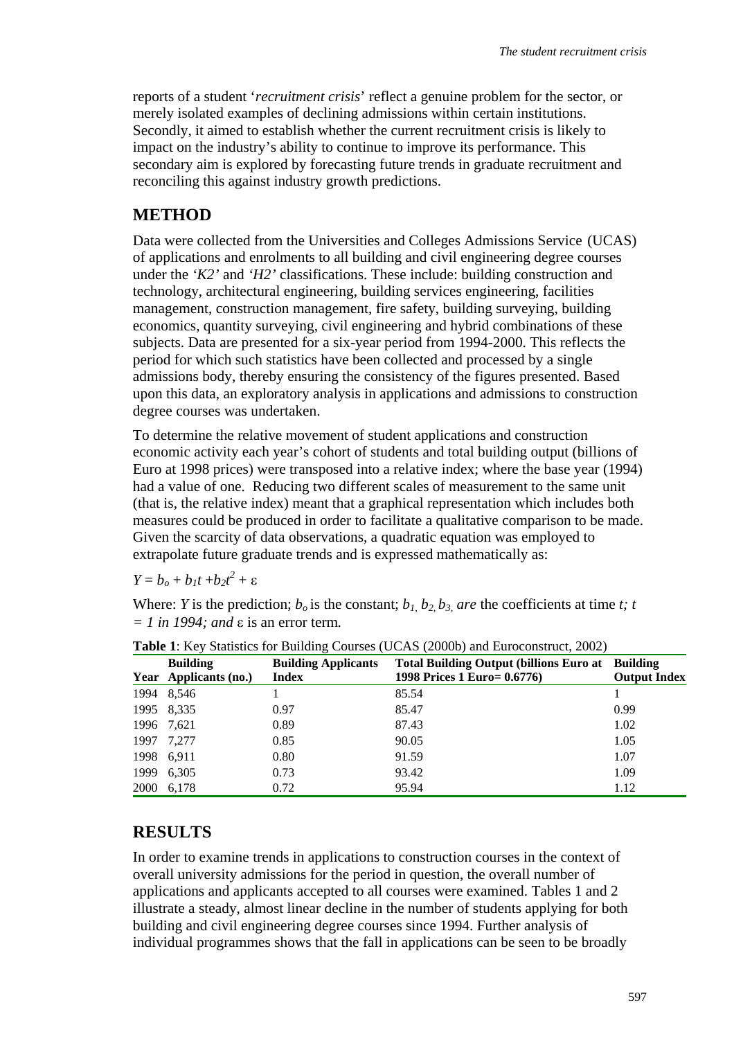reports of a student '*recruitment crisis*' reflect a genuine problem for the sector, or merely isolated examples of declining admissions within certain institutions. Secondly, it aimed to establish whether the current recruitment crisis is likely to impact on the industry's ability to continue to improve its performance. This secondary aim is explored by forecasting future trends in graduate recruitment and reconciling this against industry growth predictions.

### **METHOD**

Data were collected from the Universities and Colleges Admissions Service (UCAS) of applications and enrolments to all building and civil engineering degree courses under the *'K2'* and *'H2'* classifications. These include: building construction and technology, architectural engineering, building services engineering, facilities management, construction management, fire safety, building surveying, building economics, quantity surveying, civil engineering and hybrid combinations of these subjects. Data are presented for a six-year period from 1994-2000. This reflects the period for which such statistics have been collected and processed by a single admissions body, thereby ensuring the consistency of the figures presented. Based upon this data, an exploratory analysis in applications and admissions to construction degree courses was undertaken.

To determine the relative movement of student applications and construction economic activity each year's cohort of students and total building output (billions of Euro at 1998 prices) were transposed into a relative index; where the base year (1994) had a value of one. Reducing two different scales of measurement to the same unit (that is, the relative index) meant that a graphical representation which includes both measures could be produced in order to facilitate a qualitative comparison to be made. Given the scarcity of data observations, a quadratic equation was employed to extrapolate future graduate trends and is expressed mathematically as:

 $Y = b_o + b_1t + b_2t^2 + \varepsilon$ 

Where: *Y* is the prediction;  $b_0$  is the constant;  $b_1$   $b_2$   $b_3$  are the coefficients at time *t*; *t = 1 in 1994; and* ε is an error term*.*

| <b>Twore 1.</b> Inc., Butthered for Burnarity Courses (CCI to (20000) and Buroconstruct, 2002) |                       |                            |                                                          |                     |  |  |
|------------------------------------------------------------------------------------------------|-----------------------|----------------------------|----------------------------------------------------------|---------------------|--|--|
|                                                                                                | <b>Building</b>       | <b>Building Applicants</b> | <b>Total Building Output (billions Euro at Building)</b> |                     |  |  |
|                                                                                                | Year Applicants (no.) | <b>Index</b>               | 1998 Prices 1 Euro= 0.6776)                              | <b>Output Index</b> |  |  |
|                                                                                                | 1994 8,546            |                            | 85.54                                                    |                     |  |  |
|                                                                                                | 1995 8,335            | 0.97                       | 85.47                                                    | 0.99                |  |  |
|                                                                                                | 1996 7.621            | 0.89                       | 87.43                                                    | 1.02                |  |  |
| 1997                                                                                           | 7.277                 | 0.85                       | 90.05                                                    | 1.05                |  |  |
|                                                                                                | 1998 6,911            | 0.80                       | 91.59                                                    | 1.07                |  |  |
| 1999                                                                                           | 6,305                 | 0.73                       | 93.42                                                    | 1.09                |  |  |
| 2000                                                                                           | 6.178                 | 0.72                       | 95.94                                                    | 1.12                |  |  |

**Table 1**: Key Statistics for Building Courses (UCAS (2000b) and Euroconstruct, 2002)

### **RESULTS**

In order to examine trends in applications to construction courses in the context of overall university admissions for the period in question, the overall number of applications and applicants accepted to all courses were examined. Tables 1 and 2 illustrate a steady, almost linear decline in the number of students applying for both building and civil engineering degree courses since 1994. Further analysis of individual programmes shows that the fall in applications can be seen to be broadly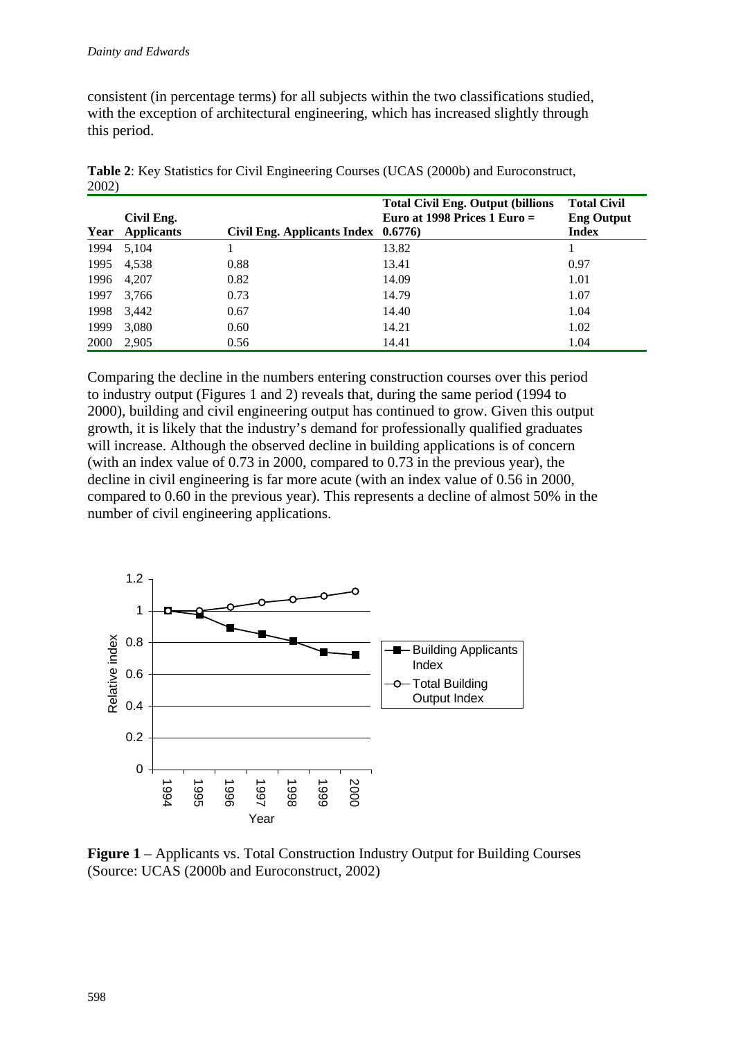consistent (in percentage terms) for all subjects within the two classifications studied, with the exception of architectural engineering, which has increased slightly through this period.

|      | Civil Eng.        |                                     | <b>Total Civil Eng. Output (billions)</b><br>Euro at 1998 Prices $1 \text{ Euro} =$ | <b>Total Civil</b><br><b>Eng Output</b> |
|------|-------------------|-------------------------------------|-------------------------------------------------------------------------------------|-----------------------------------------|
| Year | <b>Applicants</b> | Civil Eng. Applicants Index 0.6776) |                                                                                     | <b>Index</b>                            |
| 1994 | 5,104             |                                     | 13.82                                                                               |                                         |
| 1995 | 4,538             | 0.88                                | 13.41                                                                               | 0.97                                    |
| 1996 | 4,207             | 0.82                                | 14.09                                                                               | 1.01                                    |
| 1997 | 3,766             | 0.73                                | 14.79                                                                               | 1.07                                    |
| 1998 | 3,442             | 0.67                                | 14.40                                                                               | 1.04                                    |
| 1999 | 3,080             | 0.60                                | 14.21                                                                               | 1.02                                    |
| 2000 | 2,905             | 0.56                                | 14.41                                                                               | 1.04                                    |

**Table 2**: Key Statistics for Civil Engineering Courses (UCAS (2000b) and Euroconstruct, 2002)

Comparing the decline in the numbers entering construction courses over this period to industry output (Figures 1 and 2) reveals that, during the same period (1994 to 2000), building and civil engineering output has continued to grow. Given this output growth, it is likely that the industry's demand for professionally qualified graduates will increase. Although the observed decline in building applications is of concern (with an index value of 0.73 in 2000, compared to 0.73 in the previous year), the decline in civil engineering is far more acute (with an index value of 0.56 in 2000, compared to 0.60 in the previous year). This represents a decline of almost 50% in the number of civil engineering applications.



**Figure 1** – Applicants vs. Total Construction Industry Output for Building Courses (Source: UCAS (2000b and Euroconstruct, 2002)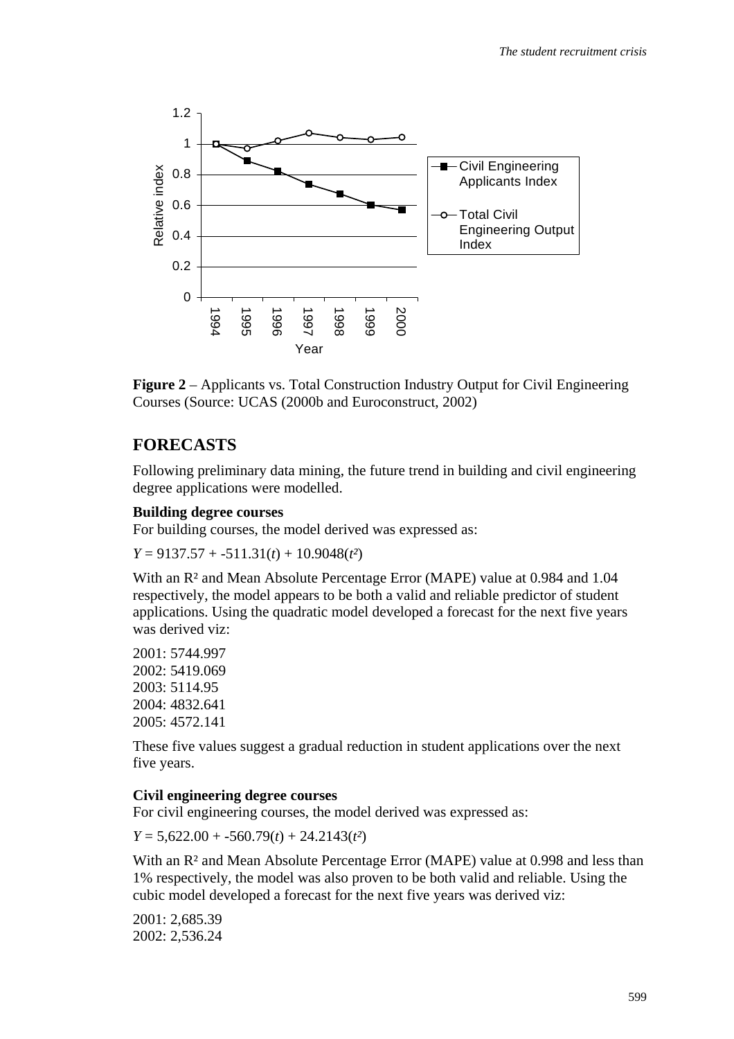

**Figure 2** – Applicants vs. Total Construction Industry Output for Civil Engineering Courses (Source: UCAS (2000b and Euroconstruct, 2002)

### **FORECASTS**

Following preliminary data mining, the future trend in building and civil engineering degree applications were modelled.

#### **Building degree courses**

For building courses, the model derived was expressed as:

*Y* = 9137.57 + -511.31(*t*) + 10.9048(*t²*)

With an R² and Mean Absolute Percentage Error (MAPE) value at 0.984 and 1.04 respectively, the model appears to be both a valid and reliable predictor of student applications. Using the quadratic model developed a forecast for the next five years was derived viz:

2001: 5744.997 2002: 5419.069 2003: 5114.95 2004: 4832.641 2005: 4572.141

These five values suggest a gradual reduction in student applications over the next five years.

#### **Civil engineering degree courses**

For civil engineering courses, the model derived was expressed as:

*Y* = 5,622.00 + -560.79(*t*) + 24.2143(*t²*)

With an  $R^2$  and Mean Absolute Percentage Error (MAPE) value at 0.998 and less than 1% respectively, the model was also proven to be both valid and reliable. Using the cubic model developed a forecast for the next five years was derived viz:

2001: 2,685.39 2002: 2,536.24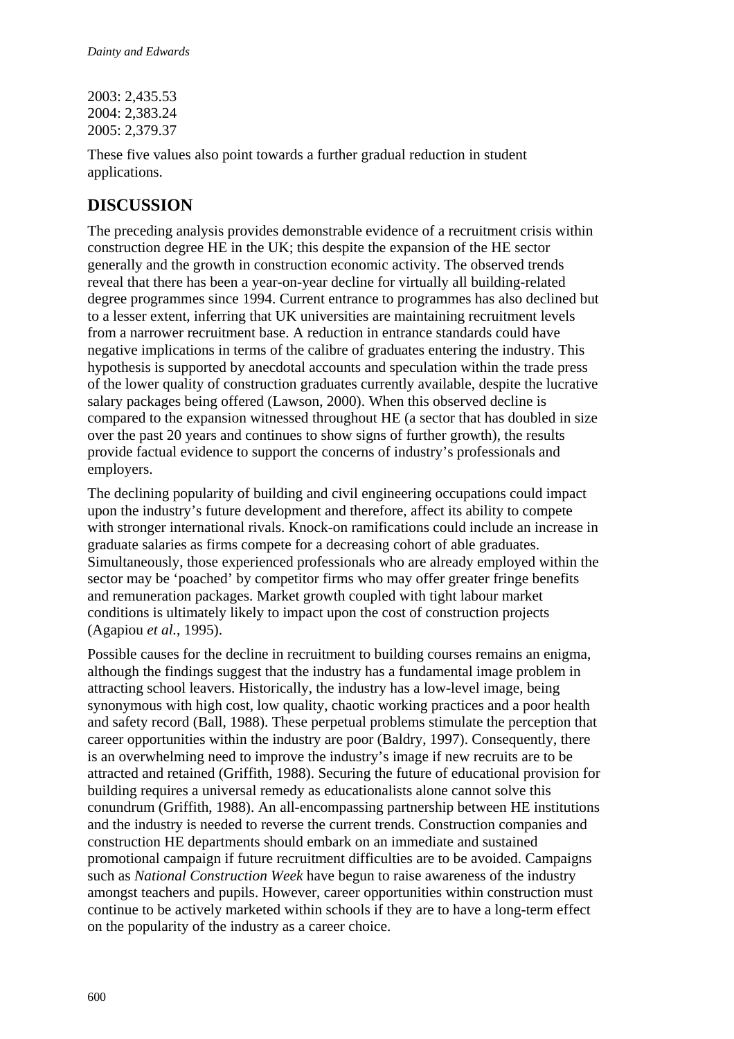2003: 2,435.53 2004: 2,383.24 2005: 2,379.37

These five values also point towards a further gradual reduction in student applications.

## **DISCUSSION**

The preceding analysis provides demonstrable evidence of a recruitment crisis within construction degree HE in the UK; this despite the expansion of the HE sector generally and the growth in construction economic activity. The observed trends reveal that there has been a year-on-year decline for virtually all building-related degree programmes since 1994. Current entrance to programmes has also declined but to a lesser extent, inferring that UK universities are maintaining recruitment levels from a narrower recruitment base. A reduction in entrance standards could have negative implications in terms of the calibre of graduates entering the industry. This hypothesis is supported by anecdotal accounts and speculation within the trade press of the lower quality of construction graduates currently available, despite the lucrative salary packages being offered (Lawson, 2000). When this observed decline is compared to the expansion witnessed throughout HE (a sector that has doubled in size over the past 20 years and continues to show signs of further growth), the results provide factual evidence to support the concerns of industry's professionals and employers.

The declining popularity of building and civil engineering occupations could impact upon the industry's future development and therefore, affect its ability to compete with stronger international rivals. Knock-on ramifications could include an increase in graduate salaries as firms compete for a decreasing cohort of able graduates. Simultaneously, those experienced professionals who are already employed within the sector may be 'poached' by competitor firms who may offer greater fringe benefits and remuneration packages. Market growth coupled with tight labour market conditions is ultimately likely to impact upon the cost of construction projects (Agapiou *et al.*, 1995).

Possible causes for the decline in recruitment to building courses remains an enigma, although the findings suggest that the industry has a fundamental image problem in attracting school leavers. Historically, the industry has a low-level image, being synonymous with high cost, low quality, chaotic working practices and a poor health and safety record (Ball, 1988). These perpetual problems stimulate the perception that career opportunities within the industry are poor (Baldry, 1997). Consequently, there is an overwhelming need to improve the industry's image if new recruits are to be attracted and retained (Griffith, 1988). Securing the future of educational provision for building requires a universal remedy as educationalists alone cannot solve this conundrum (Griffith, 1988). An all-encompassing partnership between HE institutions and the industry is needed to reverse the current trends. Construction companies and construction HE departments should embark on an immediate and sustained promotional campaign if future recruitment difficulties are to be avoided. Campaigns such as *National Construction Week* have begun to raise awareness of the industry amongst teachers and pupils. However, career opportunities within construction must continue to be actively marketed within schools if they are to have a long-term effect on the popularity of the industry as a career choice.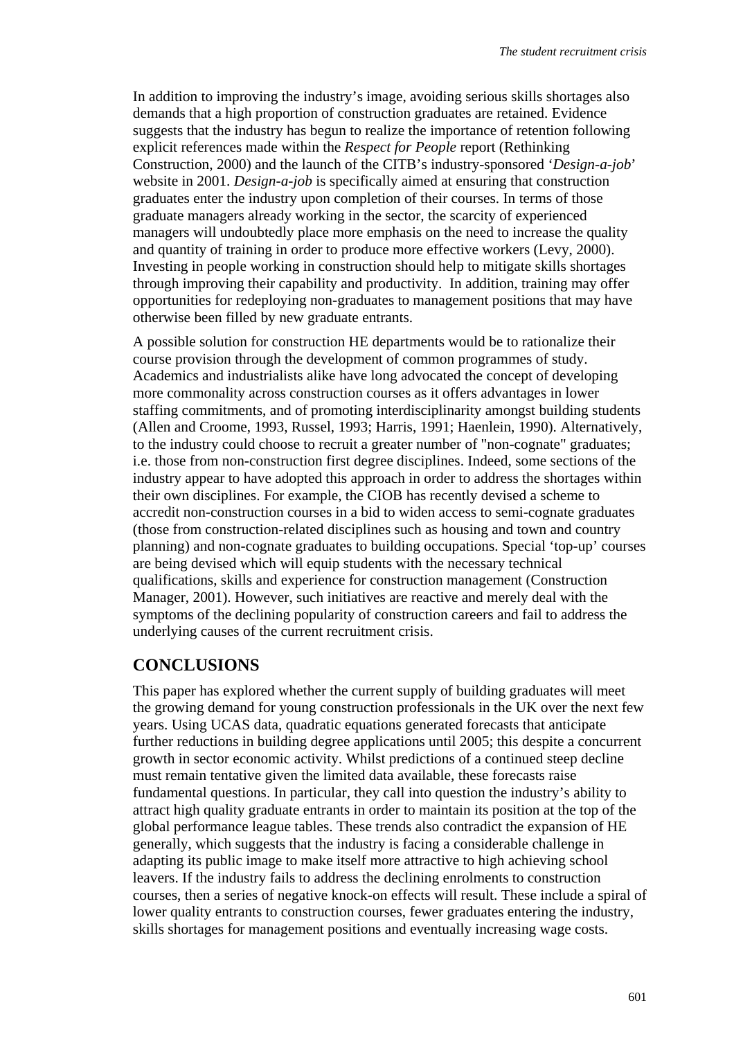In addition to improving the industry's image, avoiding serious skills shortages also demands that a high proportion of construction graduates are retained. Evidence suggests that the industry has begun to realize the importance of retention following explicit references made within the *Respect for People* report (Rethinking Construction, 2000) and the launch of the CITB's industry-sponsored '*Design-a-job*' website in 2001. *Design-a-job* is specifically aimed at ensuring that construction graduates enter the industry upon completion of their courses. In terms of those graduate managers already working in the sector, the scarcity of experienced managers will undoubtedly place more emphasis on the need to increase the quality and quantity of training in order to produce more effective workers (Levy, 2000). Investing in people working in construction should help to mitigate skills shortages through improving their capability and productivity. In addition, training may offer opportunities for redeploying non-graduates to management positions that may have otherwise been filled by new graduate entrants.

A possible solution for construction HE departments would be to rationalize their course provision through the development of common programmes of study. Academics and industrialists alike have long advocated the concept of developing more commonality across construction courses as it offers advantages in lower staffing commitments, and of promoting interdisciplinarity amongst building students (Allen and Croome, 1993, Russel, 1993; Harris, 1991; Haenlein, 1990). Alternatively, to the industry could choose to recruit a greater number of "non-cognate" graduates; i.e. those from non-construction first degree disciplines. Indeed, some sections of the industry appear to have adopted this approach in order to address the shortages within their own disciplines. For example, the CIOB has recently devised a scheme to accredit non-construction courses in a bid to widen access to semi-cognate graduates (those from construction-related disciplines such as housing and town and country planning) and non-cognate graduates to building occupations. Special 'top-up' courses are being devised which will equip students with the necessary technical qualifications, skills and experience for construction management (Construction Manager, 2001). However, such initiatives are reactive and merely deal with the symptoms of the declining popularity of construction careers and fail to address the underlying causes of the current recruitment crisis.

### **CONCLUSIONS**

This paper has explored whether the current supply of building graduates will meet the growing demand for young construction professionals in the UK over the next few years. Using UCAS data, quadratic equations generated forecasts that anticipate further reductions in building degree applications until 2005; this despite a concurrent growth in sector economic activity. Whilst predictions of a continued steep decline must remain tentative given the limited data available, these forecasts raise fundamental questions. In particular, they call into question the industry's ability to attract high quality graduate entrants in order to maintain its position at the top of the global performance league tables. These trends also contradict the expansion of HE generally, which suggests that the industry is facing a considerable challenge in adapting its public image to make itself more attractive to high achieving school leavers. If the industry fails to address the declining enrolments to construction courses, then a series of negative knock-on effects will result. These include a spiral of lower quality entrants to construction courses, fewer graduates entering the industry, skills shortages for management positions and eventually increasing wage costs.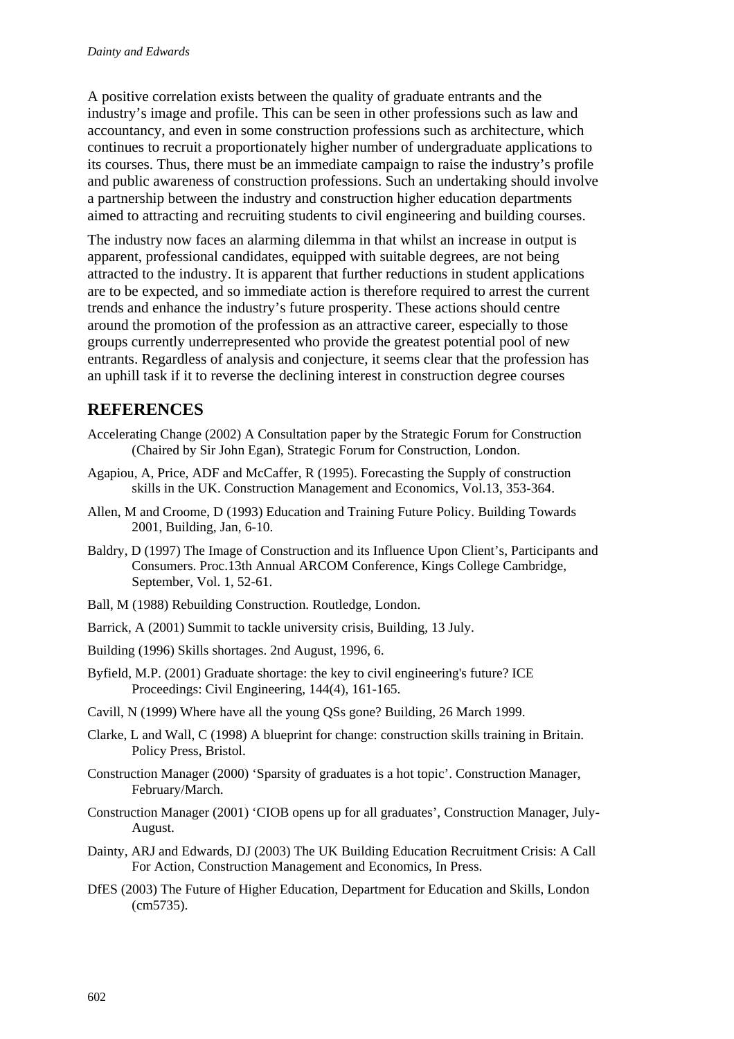A positive correlation exists between the quality of graduate entrants and the industry's image and profile. This can be seen in other professions such as law and accountancy, and even in some construction professions such as architecture, which continues to recruit a proportionately higher number of undergraduate applications to its courses. Thus, there must be an immediate campaign to raise the industry's profile and public awareness of construction professions. Such an undertaking should involve a partnership between the industry and construction higher education departments aimed to attracting and recruiting students to civil engineering and building courses.

The industry now faces an alarming dilemma in that whilst an increase in output is apparent, professional candidates, equipped with suitable degrees, are not being attracted to the industry. It is apparent that further reductions in student applications are to be expected, and so immediate action is therefore required to arrest the current trends and enhance the industry's future prosperity. These actions should centre around the promotion of the profession as an attractive career, especially to those groups currently underrepresented who provide the greatest potential pool of new entrants. Regardless of analysis and conjecture, it seems clear that the profession has an uphill task if it to reverse the declining interest in construction degree courses

## **REFERENCES**

- Accelerating Change (2002) A Consultation paper by the Strategic Forum for Construction (Chaired by Sir John Egan), Strategic Forum for Construction, London.
- Agapiou, A, Price, ADF and McCaffer, R (1995). Forecasting the Supply of construction skills in the UK. Construction Management and Economics, Vol.13, 353-364.
- Allen, M and Croome, D (1993) Education and Training Future Policy. Building Towards 2001, Building, Jan, 6-10.
- Baldry, D (1997) The Image of Construction and its Influence Upon Client's, Participants and Consumers. Proc.13th Annual ARCOM Conference, Kings College Cambridge, September, Vol. 1, 52-61.
- Ball, M (1988) Rebuilding Construction. Routledge, London.
- Barrick, A (2001) Summit to tackle university crisis, Building, 13 July.
- Building (1996) Skills shortages. 2nd August, 1996, 6.
- Byfield, M.P. (2001) Graduate shortage: the key to civil engineering's future? ICE Proceedings: Civil Engineering, 144(4), 161-165.
- Cavill, N (1999) Where have all the young QSs gone? Building, 26 March 1999.
- Clarke, L and Wall, C (1998) A blueprint for change: construction skills training in Britain. Policy Press, Bristol.
- Construction Manager (2000) 'Sparsity of graduates is a hot topic'. Construction Manager, February/March.
- Construction Manager (2001) 'CIOB opens up for all graduates', Construction Manager, July-August.
- Dainty, ARJ and Edwards, DJ (2003) The UK Building Education Recruitment Crisis: A Call For Action, Construction Management and Economics, In Press.
- DfES (2003) The Future of Higher Education, Department for Education and Skills, London (cm5735).